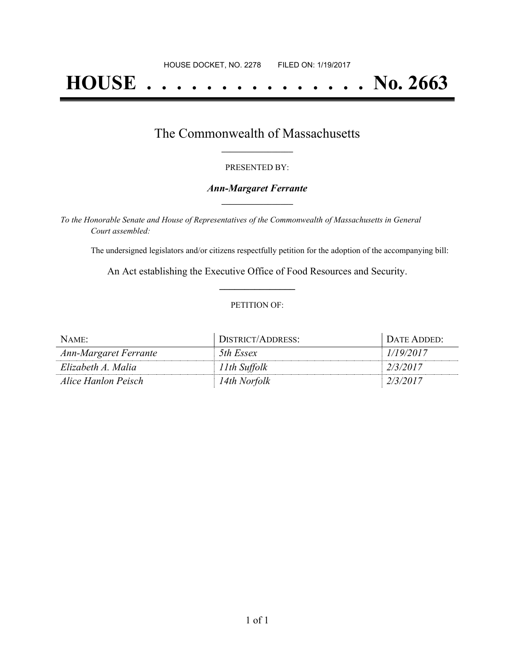# **HOUSE . . . . . . . . . . . . . . . No. 2663**

## The Commonwealth of Massachusetts **\_\_\_\_\_\_\_\_\_\_\_\_\_\_\_\_\_**

### PRESENTED BY:

### *Ann-Margaret Ferrante* **\_\_\_\_\_\_\_\_\_\_\_\_\_\_\_\_\_**

*To the Honorable Senate and House of Representatives of the Commonwealth of Massachusetts in General Court assembled:*

The undersigned legislators and/or citizens respectfully petition for the adoption of the accompanying bill:

An Act establishing the Executive Office of Food Resources and Security. **\_\_\_\_\_\_\_\_\_\_\_\_\_\_\_**

### PETITION OF:

| NAME:                 | DISTRICT/ADDRESS: | DATE ADDED: |
|-----------------------|-------------------|-------------|
| Ann-Margaret Ferrante | 5th Essex         | 1/19/2017   |
| Elizabeth A. Malia    | 11th Suffolk      | 2/3/2017    |
| Alice Hanlon Peisch   | 14th Norfolk      | 2/3/2017    |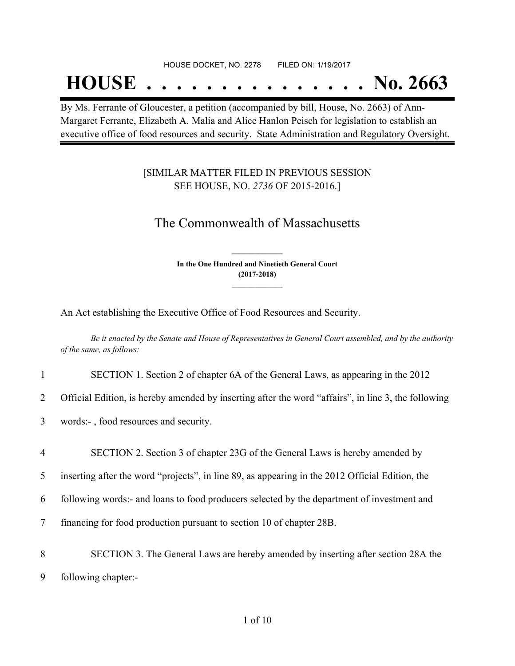#### HOUSE DOCKET, NO. 2278 FILED ON: 1/19/2017

## **HOUSE . . . . . . . . . . . . . . . No. 2663**

By Ms. Ferrante of Gloucester, a petition (accompanied by bill, House, No. 2663) of Ann-Margaret Ferrante, Elizabeth A. Malia and Alice Hanlon Peisch for legislation to establish an executive office of food resources and security. State Administration and Regulatory Oversight.

### [SIMILAR MATTER FILED IN PREVIOUS SESSION SEE HOUSE, NO. *2736* OF 2015-2016.]

## The Commonwealth of Massachusetts

**In the One Hundred and Ninetieth General Court (2017-2018) \_\_\_\_\_\_\_\_\_\_\_\_\_\_\_**

**\_\_\_\_\_\_\_\_\_\_\_\_\_\_\_**

An Act establishing the Executive Office of Food Resources and Security.

Be it enacted by the Senate and House of Representatives in General Court assembled, and by the authority *of the same, as follows:*

|  | SECTION 1. Section 2 of chapter 6A of the General Laws, as appearing in the 2012 |  |
|--|----------------------------------------------------------------------------------|--|
|--|----------------------------------------------------------------------------------|--|

2 Official Edition, is hereby amended by inserting after the word "affairs", in line 3, the following

- 3 words:- , food resources and security.
- 4 SECTION 2. Section 3 of chapter 23G of the General Laws is hereby amended by
- 5 inserting after the word "projects", in line 89, as appearing in the 2012 Official Edition, the
- 6 following words:- and loans to food producers selected by the department of investment and
- 7 financing for food production pursuant to section 10 of chapter 28B.
- 8 SECTION 3. The General Laws are hereby amended by inserting after section 28A the 9 following chapter:-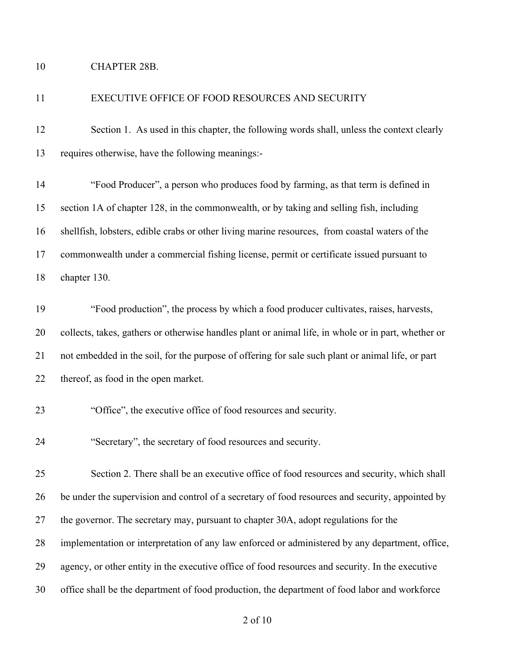## CHAPTER 28B.

| 11 | EXECUTIVE OFFICE OF FOOD RESOURCES AND SECURITY                                                     |
|----|-----------------------------------------------------------------------------------------------------|
| 12 | Section 1. As used in this chapter, the following words shall, unless the context clearly           |
| 13 | requires otherwise, have the following meanings:-                                                   |
| 14 | "Food Producer", a person who produces food by farming, as that term is defined in                  |
| 15 | section 1A of chapter 128, in the commonwealth, or by taking and selling fish, including            |
| 16 | shellfish, lobsters, edible crabs or other living marine resources, from coastal waters of the      |
| 17 | commonwealth under a commercial fishing license, permit or certificate issued pursuant to           |
| 18 | chapter 130.                                                                                        |
| 19 | "Food production", the process by which a food producer cultivates, raises, harvests,               |
| 20 | collects, takes, gathers or otherwise handles plant or animal life, in whole or in part, whether or |
| 21 | not embedded in the soil, for the purpose of offering for sale such plant or animal life, or part   |
| 22 | thereof, as food in the open market.                                                                |
| 23 | "Office", the executive office of food resources and security.                                      |
| 24 | "Secretary", the secretary of food resources and security.                                          |
| 25 | Section 2. There shall be an executive office of food resources and security, which shall           |
| 26 | be under the supervision and control of a secretary of food resources and security, appointed by    |
| 27 | the governor. The secretary may, pursuant to chapter 30A, adopt regulations for the                 |
| 28 | implementation or interpretation of any law enforced or administered by any department, office,     |
| 29 | agency, or other entity in the executive office of food resources and security. In the executive    |
| 30 | office shall be the department of food production, the department of food labor and workforce       |
|    |                                                                                                     |

of 10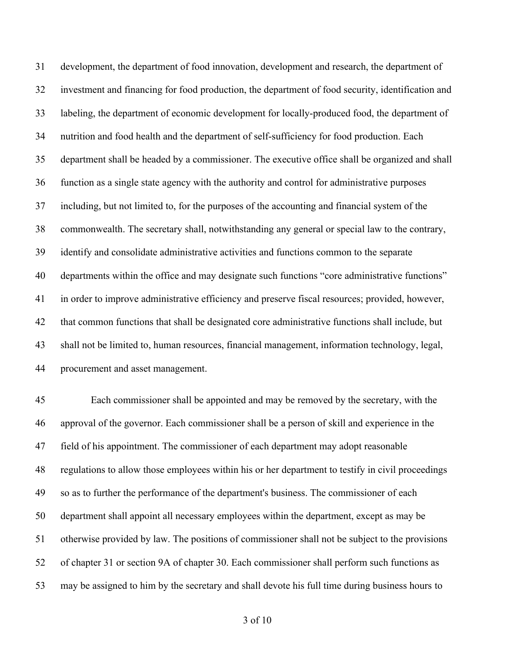development, the department of food innovation, development and research, the department of investment and financing for food production, the department of food security, identification and labeling, the department of economic development for locally-produced food, the department of nutrition and food health and the department of self-sufficiency for food production. Each department shall be headed by a commissioner. The executive office shall be organized and shall function as a single state agency with the authority and control for administrative purposes including, but not limited to, for the purposes of the accounting and financial system of the commonwealth. The secretary shall, notwithstanding any general or special law to the contrary, identify and consolidate administrative activities and functions common to the separate 40 departments within the office and may designate such functions "core administrative functions" in order to improve administrative efficiency and preserve fiscal resources; provided, however, that common functions that shall be designated core administrative functions shall include, but shall not be limited to, human resources, financial management, information technology, legal, procurement and asset management.

 Each commissioner shall be appointed and may be removed by the secretary, with the approval of the governor. Each commissioner shall be a person of skill and experience in the field of his appointment. The commissioner of each department may adopt reasonable regulations to allow those employees within his or her department to testify in civil proceedings so as to further the performance of the department's business. The commissioner of each department shall appoint all necessary employees within the department, except as may be otherwise provided by law. The positions of commissioner shall not be subject to the provisions of chapter 31 or section 9A of chapter 30. Each commissioner shall perform such functions as may be assigned to him by the secretary and shall devote his full time during business hours to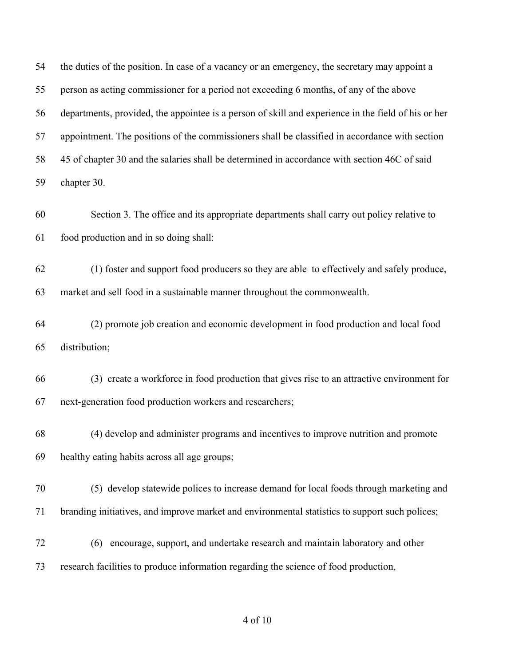the duties of the position. In case of a vacancy or an emergency, the secretary may appoint a person as acting commissioner for a period not exceeding 6 months, of any of the above departments, provided, the appointee is a person of skill and experience in the field of his or her appointment. The positions of the commissioners shall be classified in accordance with section 45 of chapter 30 and the salaries shall be determined in accordance with section 46C of said chapter 30. Section 3. The office and its appropriate departments shall carry out policy relative to food production and in so doing shall: (1) foster and support food producers so they are able to effectively and safely produce, market and sell food in a sustainable manner throughout the commonwealth. (2) promote job creation and economic development in food production and local food distribution; (3) create a workforce in food production that gives rise to an attractive environment for next-generation food production workers and researchers; (4) develop and administer programs and incentives to improve nutrition and promote healthy eating habits across all age groups; (5) develop statewide polices to increase demand for local foods through marketing and branding initiatives, and improve market and environmental statistics to support such polices; (6) encourage, support, and undertake research and maintain laboratory and other research facilities to produce information regarding the science of food production,

### of 10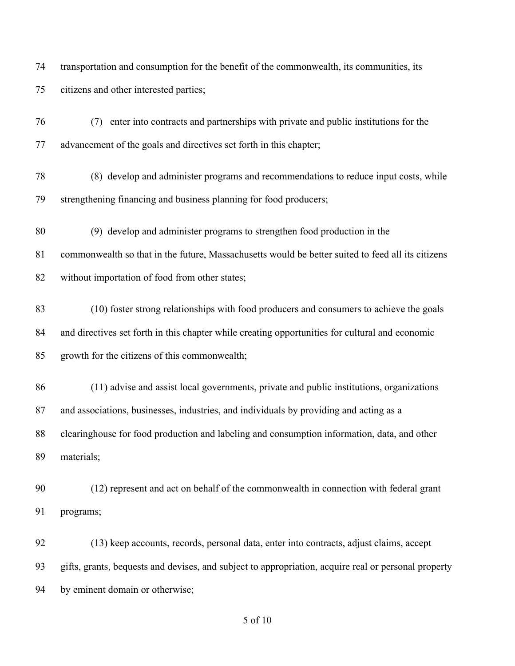transportation and consumption for the benefit of the commonwealth, its communities, its citizens and other interested parties;

 (7) enter into contracts and partnerships with private and public institutions for the advancement of the goals and directives set forth in this chapter;

 (8) develop and administer programs and recommendations to reduce input costs, while strengthening financing and business planning for food producers;

(9) develop and administer programs to strengthen food production in the

 commonwealth so that in the future, Massachusetts would be better suited to feed all its citizens without importation of food from other states;

 (10) foster strong relationships with food producers and consumers to achieve the goals and directives set forth in this chapter while creating opportunities for cultural and economic growth for the citizens of this commonwealth;

 (11) advise and assist local governments, private and public institutions, organizations and associations, businesses, industries, and individuals by providing and acting as a clearinghouse for food production and labeling and consumption information, data, and other materials;

 (12) represent and act on behalf of the commonwealth in connection with federal grant programs;

 (13) keep accounts, records, personal data, enter into contracts, adjust claims, accept gifts, grants, bequests and devises, and subject to appropriation, acquire real or personal property by eminent domain or otherwise;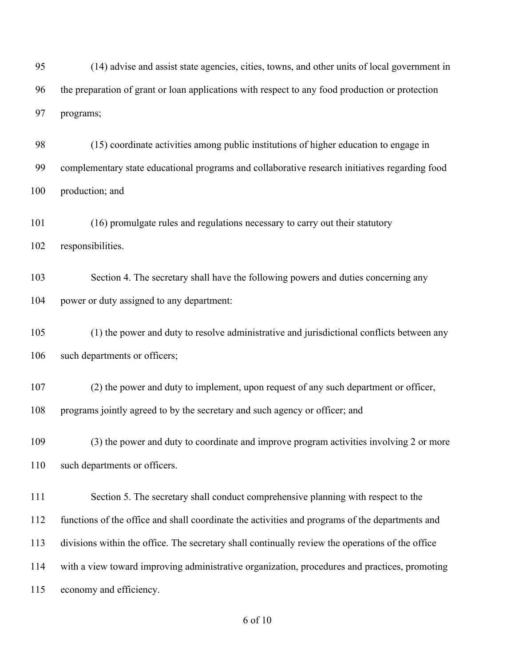(14) advise and assist state agencies, cities, towns, and other units of local government in the preparation of grant or loan applications with respect to any food production or protection programs;

 (15) coordinate activities among public institutions of higher education to engage in complementary state educational programs and collaborative research initiatives regarding food production; and

 (16) promulgate rules and regulations necessary to carry out their statutory responsibilities.

 Section 4. The secretary shall have the following powers and duties concerning any power or duty assigned to any department:

 (1) the power and duty to resolve administrative and jurisdictional conflicts between any 106 such departments or officers;

 (2) the power and duty to implement, upon request of any such department or officer, programs jointly agreed to by the secretary and such agency or officer; and

 (3) the power and duty to coordinate and improve program activities involving 2 or more such departments or officers.

 Section 5. The secretary shall conduct comprehensive planning with respect to the functions of the office and shall coordinate the activities and programs of the departments and divisions within the office. The secretary shall continually review the operations of the office with a view toward improving administrative organization, procedures and practices, promoting economy and efficiency.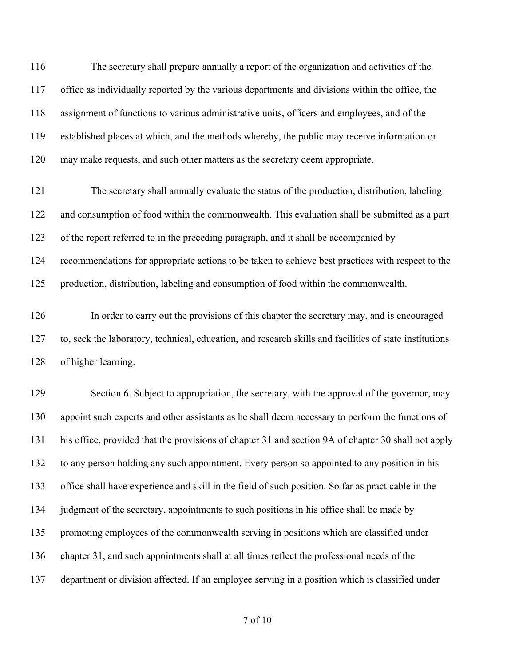The secretary shall prepare annually a report of the organization and activities of the office as individually reported by the various departments and divisions within the office, the assignment of functions to various administrative units, officers and employees, and of the established places at which, and the methods whereby, the public may receive information or may make requests, and such other matters as the secretary deem appropriate.

 The secretary shall annually evaluate the status of the production, distribution, labeling and consumption of food within the commonwealth. This evaluation shall be submitted as a part of the report referred to in the preceding paragraph, and it shall be accompanied by recommendations for appropriate actions to be taken to achieve best practices with respect to the production, distribution, labeling and consumption of food within the commonwealth.

 In order to carry out the provisions of this chapter the secretary may, and is encouraged to, seek the laboratory, technical, education, and research skills and facilities of state institutions of higher learning.

129 Section 6. Subject to appropriation, the secretary, with the approval of the governor, may appoint such experts and other assistants as he shall deem necessary to perform the functions of his office, provided that the provisions of chapter 31 and section 9A of chapter 30 shall not apply to any person holding any such appointment. Every person so appointed to any position in his office shall have experience and skill in the field of such position. So far as practicable in the 134 judgment of the secretary, appointments to such positions in his office shall be made by promoting employees of the commonwealth serving in positions which are classified under chapter 31, and such appointments shall at all times reflect the professional needs of the department or division affected. If an employee serving in a position which is classified under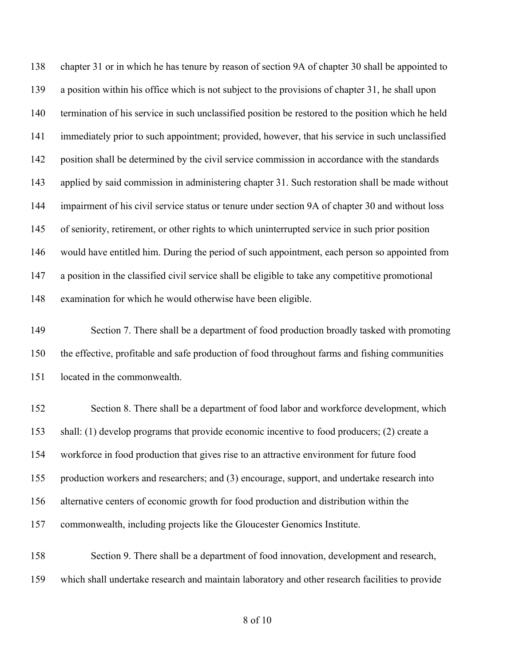chapter 31 or in which he has tenure by reason of section 9A of chapter 30 shall be appointed to a position within his office which is not subject to the provisions of chapter 31, he shall upon termination of his service in such unclassified position be restored to the position which he held immediately prior to such appointment; provided, however, that his service in such unclassified position shall be determined by the civil service commission in accordance with the standards applied by said commission in administering chapter 31. Such restoration shall be made without impairment of his civil service status or tenure under section 9A of chapter 30 and without loss of seniority, retirement, or other rights to which uninterrupted service in such prior position would have entitled him. During the period of such appointment, each person so appointed from a position in the classified civil service shall be eligible to take any competitive promotional examination for which he would otherwise have been eligible.

 Section 7. There shall be a department of food production broadly tasked with promoting the effective, profitable and safe production of food throughout farms and fishing communities located in the commonwealth.

 Section 8. There shall be a department of food labor and workforce development, which shall: (1) develop programs that provide economic incentive to food producers; (2) create a workforce in food production that gives rise to an attractive environment for future food production workers and researchers; and (3) encourage, support, and undertake research into alternative centers of economic growth for food production and distribution within the commonwealth, including projects like the Gloucester Genomics Institute.

 Section 9. There shall be a department of food innovation, development and research, which shall undertake research and maintain laboratory and other research facilities to provide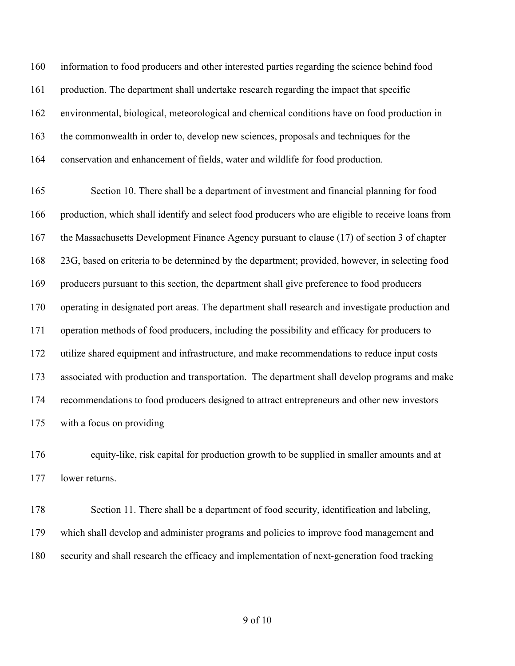information to food producers and other interested parties regarding the science behind food production. The department shall undertake research regarding the impact that specific environmental, biological, meteorological and chemical conditions have on food production in the commonwealth in order to, develop new sciences, proposals and techniques for the conservation and enhancement of fields, water and wildlife for food production.

 Section 10. There shall be a department of investment and financial planning for food production, which shall identify and select food producers who are eligible to receive loans from the Massachusetts Development Finance Agency pursuant to clause (17) of section 3 of chapter 23G, based on criteria to be determined by the department; provided, however, in selecting food producers pursuant to this section, the department shall give preference to food producers operating in designated port areas. The department shall research and investigate production and operation methods of food producers, including the possibility and efficacy for producers to utilize shared equipment and infrastructure, and make recommendations to reduce input costs associated with production and transportation. The department shall develop programs and make recommendations to food producers designed to attract entrepreneurs and other new investors with a focus on providing

 equity-like, risk capital for production growth to be supplied in smaller amounts and at lower returns.

 Section 11. There shall be a department of food security, identification and labeling, which shall develop and administer programs and policies to improve food management and security and shall research the efficacy and implementation of next-generation food tracking